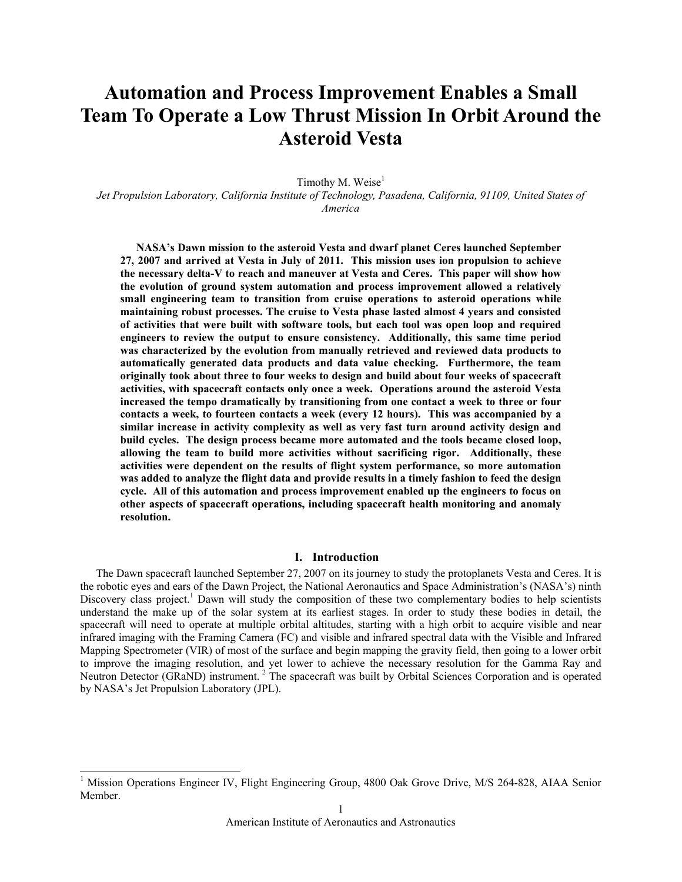# **Automation and Process Improvement Enables a Small Team To Operate a Low Thrust Mission In Orbit Around the Asteroid Vesta**

Timothy M. Weise $<sup>1</sup>$ </sup>

*Jet Propulsion Laboratory, California Institute of Technology, Pasadena, California, 91109, United States of America* 

**NASA's Dawn mission to the asteroid Vesta and dwarf planet Ceres launched September 27, 2007 and arrived at Vesta in July of 2011. This mission uses ion propulsion to achieve the necessary delta-V to reach and maneuver at Vesta and Ceres. This paper will show how the evolution of ground system automation and process improvement allowed a relatively small engineering team to transition from cruise operations to asteroid operations while maintaining robust processes. The cruise to Vesta phase lasted almost 4 years and consisted of activities that were built with software tools, but each tool was open loop and required engineers to review the output to ensure consistency. Additionally, this same time period was characterized by the evolution from manually retrieved and reviewed data products to automatically generated data products and data value checking. Furthermore, the team originally took about three to four weeks to design and build about four weeks of spacecraft activities, with spacecraft contacts only once a week. Operations around the asteroid Vesta increased the tempo dramatically by transitioning from one contact a week to three or four contacts a week, to fourteen contacts a week (every 12 hours). This was accompanied by a similar increase in activity complexity as well as very fast turn around activity design and build cycles. The design process became more automated and the tools became closed loop, allowing the team to build more activities without sacrificing rigor. Additionally, these activities were dependent on the results of flight system performance, so more automation was added to analyze the flight data and provide results in a timely fashion to feed the design cycle. All of this automation and process improvement enabled up the engineers to focus on other aspects of spacecraft operations, including spacecraft health monitoring and anomaly resolution.** 

## **I. Introduction**

The Dawn spacecraft launched September 27, 2007 on its journey to study the protoplanets Vesta and Ceres. It is the robotic eyes and ears of the Dawn Project, the National Aeronautics and Space Administration's (NASA's) ninth Discovery class project.<sup>1</sup> Dawn will study the composition of these two complementary bodies to help scientists understand the make up of the solar system at its earliest stages. In order to study these bodies in detail, the spacecraft will need to operate at multiple orbital altitudes, starting with a high orbit to acquire visible and near infrared imaging with the Framing Camera (FC) and visible and infrared spectral data with the Visible and Infrared Mapping Spectrometer (VIR) of most of the surface and begin mapping the gravity field, then going to a lower orbit to improve the imaging resolution, and yet lower to achieve the necessary resolution for the Gamma Ray and Neutron Detector (GRaND) instrument.<sup>2</sup> The spacecraft was built by Orbital Sciences Corporation and is operated by NASA's Jet Propulsion Laboratory (JPL).

 $\overline{a}$ 

<sup>&</sup>lt;sup>1</sup> Mission Operations Engineer IV, Flight Engineering Group, 4800 Oak Grove Drive, M/S 264-828, AIAA Senior Member.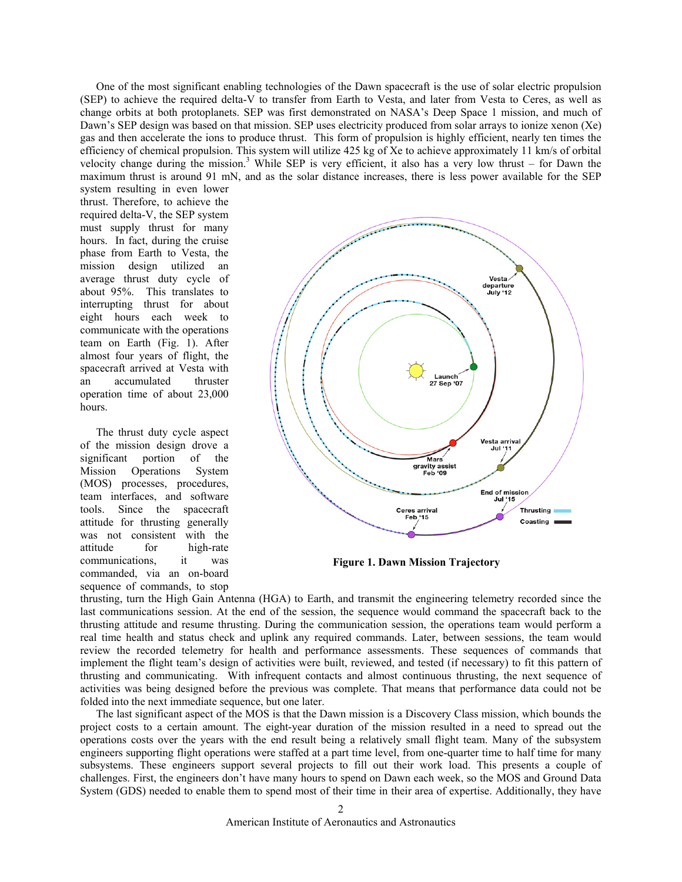One of the most significant enabling technologies of the Dawn spacecraft is the use of solar electric propulsion (SEP) to achieve the required delta-V to transfer from Earth to Vesta, and later from Vesta to Ceres, as well as change orbits at both protoplanets. SEP was first demonstrated on NASA's Deep Space 1 mission, and much of Dawn's SEP design was based on that mission. SEP uses electricity produced from solar arrays to ionize xenon (Xe) gas and then accelerate the ions to produce thrust. This form of propulsion is highly efficient, nearly ten times the efficiency of chemical propulsion. This system will utilize 425 kg of Xe to achieve approximately 11 km/s of orbital velocity change during the mission.<sup>3</sup> While SEP is very efficient, it also has a very low thrust – for Dawn the maximum thrust is around 91 mN, and as the solar distance increases, there is less power available for the SEP

system resulting in even lower thrust. Therefore, to achieve the required delta-V, the SEP system must supply thrust for many hours. In fact, during the cruise phase from Earth to Vesta, the mission design utilized an average thrust duty cycle of about 95%. This translates to interrupting thrust for about eight hours each week to communicate with the operations team on Earth (Fig. 1). After almost four years of flight, the spacecraft arrived at Vesta with an accumulated thruster operation time of about 23,000 hours.

The thrust duty cycle aspect of the mission design drove a significant portion of the Mission Operations System (MOS) processes, procedures, team interfaces, and software tools. Since the spacecraft attitude for thrusting generally was not consistent with the attitude for high-rate communications, it was commanded, via an on-board sequence of commands, to stop



**Figure 1. Dawn Mission Trajectory** 

thrusting, turn the High Gain Antenna (HGA) to Earth, and transmit the engineering telemetry recorded since the last communications session. At the end of the session, the sequence would command the spacecraft back to the thrusting attitude and resume thrusting. During the communication session, the operations team would perform a real time health and status check and uplink any required commands. Later, between sessions, the team would review the recorded telemetry for health and performance assessments. These sequences of commands that implement the flight team's design of activities were built, reviewed, and tested (if necessary) to fit this pattern of thrusting and communicating. With infrequent contacts and almost continuous thrusting, the next sequence of activities was being designed before the previous was complete. That means that performance data could not be folded into the next immediate sequence, but one later.

The last significant aspect of the MOS is that the Dawn mission is a Discovery Class mission, which bounds the project costs to a certain amount. The eight-year duration of the mission resulted in a need to spread out the operations costs over the years with the end result being a relatively small flight team. Many of the subsystem engineers supporting flight operations were staffed at a part time level, from one-quarter time to half time for many subsystems. These engineers support several projects to fill out their work load. This presents a couple of challenges. First, the engineers don't have many hours to spend on Dawn each week, so the MOS and Ground Data System (GDS) needed to enable them to spend most of their time in their area of expertise. Additionally, they have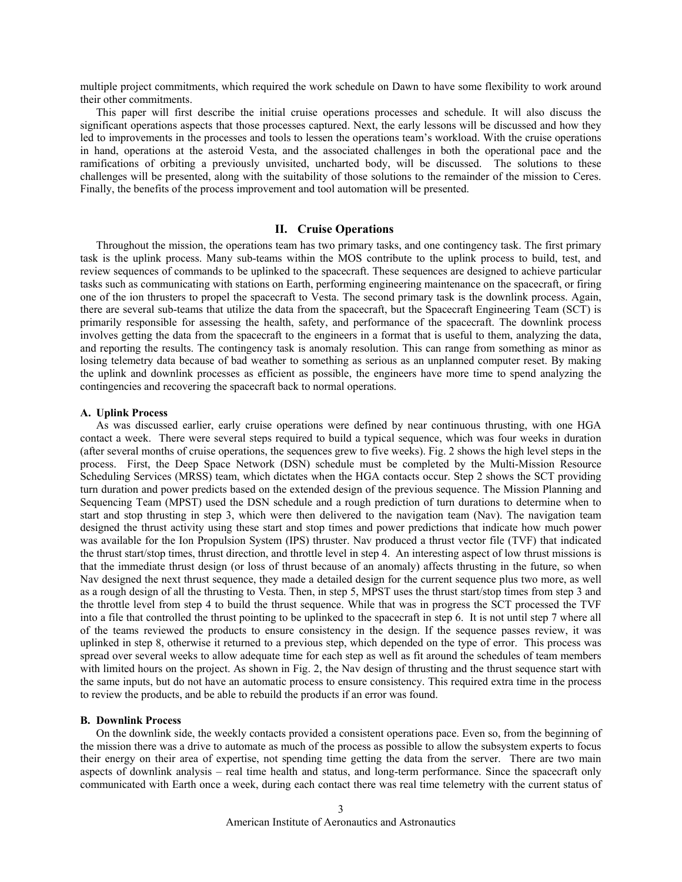multiple project commitments, which required the work schedule on Dawn to have some flexibility to work around their other commitments.

This paper will first describe the initial cruise operations processes and schedule. It will also discuss the significant operations aspects that those processes captured. Next, the early lessons will be discussed and how they led to improvements in the processes and tools to lessen the operations team's workload. With the cruise operations in hand, operations at the asteroid Vesta, and the associated challenges in both the operational pace and the ramifications of orbiting a previously unvisited, uncharted body, will be discussed. The solutions to these challenges will be presented, along with the suitability of those solutions to the remainder of the mission to Ceres. Finally, the benefits of the process improvement and tool automation will be presented.

#### **II. Cruise Operations**

Throughout the mission, the operations team has two primary tasks, and one contingency task. The first primary task is the uplink process. Many sub-teams within the MOS contribute to the uplink process to build, test, and review sequences of commands to be uplinked to the spacecraft. These sequences are designed to achieve particular tasks such as communicating with stations on Earth, performing engineering maintenance on the spacecraft, or firing one of the ion thrusters to propel the spacecraft to Vesta. The second primary task is the downlink process. Again, there are several sub-teams that utilize the data from the spacecraft, but the Spacecraft Engineering Team (SCT) is primarily responsible for assessing the health, safety, and performance of the spacecraft. The downlink process involves getting the data from the spacecraft to the engineers in a format that is useful to them, analyzing the data, and reporting the results. The contingency task is anomaly resolution. This can range from something as minor as losing telemetry data because of bad weather to something as serious as an unplanned computer reset. By making the uplink and downlink processes as efficient as possible, the engineers have more time to spend analyzing the contingencies and recovering the spacecraft back to normal operations.

### **A. Uplink Process**

As was discussed earlier, early cruise operations were defined by near continuous thrusting, with one HGA contact a week. There were several steps required to build a typical sequence, which was four weeks in duration (after several months of cruise operations, the sequences grew to five weeks). Fig. 2 shows the high level steps in the process. First, the Deep Space Network (DSN) schedule must be completed by the Multi-Mission Resource Scheduling Services (MRSS) team, which dictates when the HGA contacts occur. Step 2 shows the SCT providing turn duration and power predicts based on the extended design of the previous sequence. The Mission Planning and Sequencing Team (MPST) used the DSN schedule and a rough prediction of turn durations to determine when to start and stop thrusting in step 3, which were then delivered to the navigation team (Nav). The navigation team designed the thrust activity using these start and stop times and power predictions that indicate how much power was available for the Ion Propulsion System (IPS) thruster. Nav produced a thrust vector file (TVF) that indicated the thrust start/stop times, thrust direction, and throttle level in step 4. An interesting aspect of low thrust missions is that the immediate thrust design (or loss of thrust because of an anomaly) affects thrusting in the future, so when Nav designed the next thrust sequence, they made a detailed design for the current sequence plus two more, as well as a rough design of all the thrusting to Vesta. Then, in step 5, MPST uses the thrust start/stop times from step 3 and the throttle level from step 4 to build the thrust sequence. While that was in progress the SCT processed the TVF into a file that controlled the thrust pointing to be uplinked to the spacecraft in step 6. It is not until step 7 where all of the teams reviewed the products to ensure consistency in the design. If the sequence passes review, it was uplinked in step 8, otherwise it returned to a previous step, which depended on the type of error. This process was spread over several weeks to allow adequate time for each step as well as fit around the schedules of team members with limited hours on the project. As shown in Fig. 2, the Nav design of thrusting and the thrust sequence start with the same inputs, but do not have an automatic process to ensure consistency. This required extra time in the process to review the products, and be able to rebuild the products if an error was found.

#### **B. Downlink Process**

On the downlink side, the weekly contacts provided a consistent operations pace. Even so, from the beginning of the mission there was a drive to automate as much of the process as possible to allow the subsystem experts to focus their energy on their area of expertise, not spending time getting the data from the server. There are two main aspects of downlink analysis – real time health and status, and long-term performance. Since the spacecraft only communicated with Earth once a week, during each contact there was real time telemetry with the current status of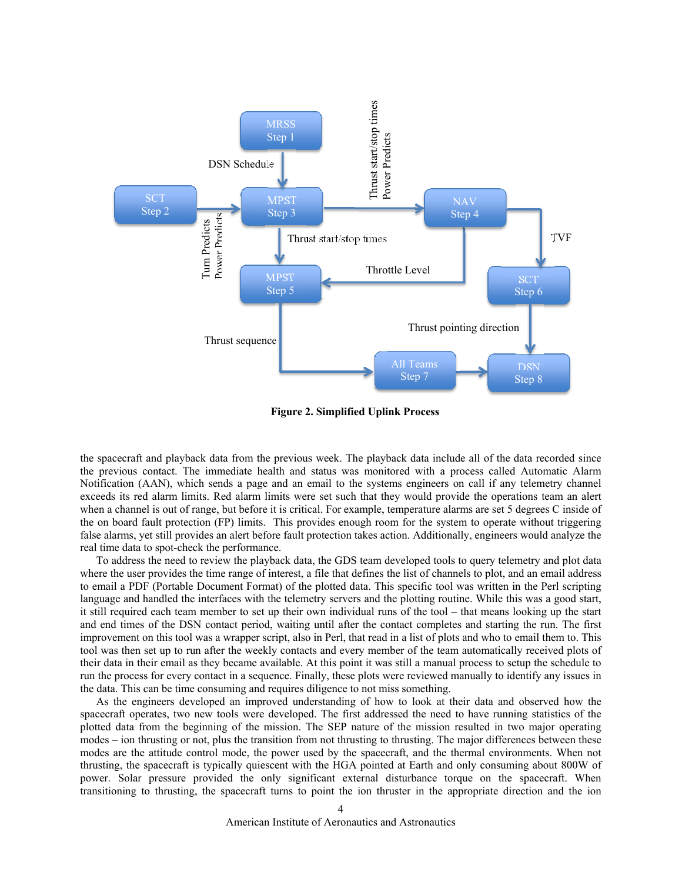

**Figure 2. Simplified Uplink Process** 

the spacecraft and playback data from the previous week. The playback data include all of the data recorded since the previous contact. The immediate health and status was monitored with a process called Automatic Alarm Notification (AAN), which sends a page and an email to the systems engineers on call if any telemetry channel exceeds its red alarm limits. Red alarm limits were set such that they would provide the operations team an alert when a channel is out of range, but before it is critical. For example, temperature alarms are set 5 degrees C inside of the on board fault protection (FP) limits. This provides enough room for the system to operate without triggering false alarms, yet still provides an alert before fault protection takes action. Additionally, engineers would analyze the real time data to spot-check the performance.

To address the need to review the playback data, the GDS team developed tools to query telemetry and plot data where the user provides the time range of interest, a file that defines the list of channels to plot, and an email address to email a PDF (Portable Document Format) of the plotted data. This specific tool was written in the Perl scripting language and handled the interfaces with the telemetry servers and the plotting routine. While this was a good start, it still required each team member to set up their own individual runs of the tool – that means looking up the start and end times of the DSN contact period, waiting until after the contact completes and starting the run. The first improvement on this tool was a wrapper script, also in Perl, that read in a list of plots and who to email them to. This tool was then set up to run after the weekly contacts and every member of the team automatically received plots of their data in their email as they became available. At this point it was still a manual process to setup the schedule to run the process for every contact in a sequence. Finally, these plots were reviewed manually to identify any issues in the data. This can be time consuming and requires diligence to not miss something.

As the engineers developed an improved understanding of how to look at their data and observed how the spacecraft operates, two new tools were developed. The first addressed the need to have running statistics of the plotted data from the beginning of the mission. The SEP nature of the mission resulted in two major operating modes – ion thrusting or not, plus the transition from not thrusting to thrusting. The major differences between these modes are the attitude control mode, the power used by the spacecraft, and the thermal environments. When not thrusting, the spacecraft is typically quiescent with the HGA pointed at Earth and only consuming about 800W of power. Solar pressure provided the only significant external disturbance torque on the spacecraft. When transitioning to thrusting, the spacecraft turns to point the ion thruster in the appropriate direction and the ion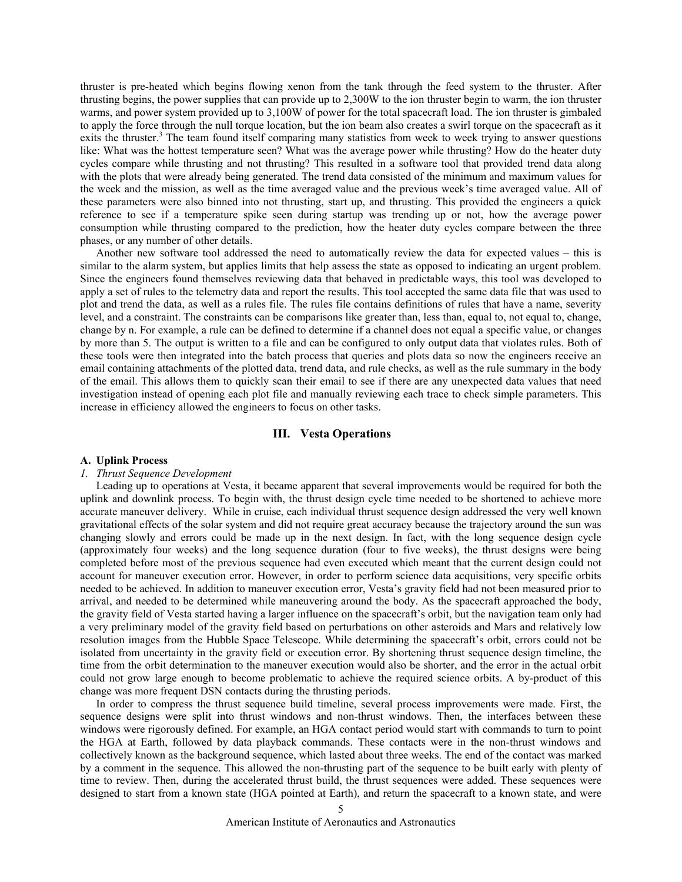thruster is pre-heated which begins flowing xenon from the tank through the feed system to the thruster. After thrusting begins, the power supplies that can provide up to 2,300W to the ion thruster begin to warm, the ion thruster warms, and power system provided up to 3,100W of power for the total spacecraft load. The ion thruster is gimbaled to apply the force through the null torque location, but the ion beam also creates a swirl torque on the spacecraft as it exits the thruster.<sup>3</sup> The team found itself comparing many statistics from week to week trying to answer questions like: What was the hottest temperature seen? What was the average power while thrusting? How do the heater duty cycles compare while thrusting and not thrusting? This resulted in a software tool that provided trend data along with the plots that were already being generated. The trend data consisted of the minimum and maximum values for the week and the mission, as well as the time averaged value and the previous week's time averaged value. All of these parameters were also binned into not thrusting, start up, and thrusting. This provided the engineers a quick reference to see if a temperature spike seen during startup was trending up or not, how the average power consumption while thrusting compared to the prediction, how the heater duty cycles compare between the three phases, or any number of other details.

Another new software tool addressed the need to automatically review the data for expected values – this is similar to the alarm system, but applies limits that help assess the state as opposed to indicating an urgent problem. Since the engineers found themselves reviewing data that behaved in predictable ways, this tool was developed to apply a set of rules to the telemetry data and report the results. This tool accepted the same data file that was used to plot and trend the data, as well as a rules file. The rules file contains definitions of rules that have a name, severity level, and a constraint. The constraints can be comparisons like greater than, less than, equal to, not equal to, change, change by n. For example, a rule can be defined to determine if a channel does not equal a specific value, or changes by more than 5. The output is written to a file and can be configured to only output data that violates rules. Both of these tools were then integrated into the batch process that queries and plots data so now the engineers receive an email containing attachments of the plotted data, trend data, and rule checks, as well as the rule summary in the body of the email. This allows them to quickly scan their email to see if there are any unexpected data values that need investigation instead of opening each plot file and manually reviewing each trace to check simple parameters. This increase in efficiency allowed the engineers to focus on other tasks.

### **III. Vesta Operations**

#### **A. Uplink Process**

## *1. Thrust Sequence Development*

Leading up to operations at Vesta, it became apparent that several improvements would be required for both the uplink and downlink process. To begin with, the thrust design cycle time needed to be shortened to achieve more accurate maneuver delivery. While in cruise, each individual thrust sequence design addressed the very well known gravitational effects of the solar system and did not require great accuracy because the trajectory around the sun was changing slowly and errors could be made up in the next design. In fact, with the long sequence design cycle (approximately four weeks) and the long sequence duration (four to five weeks), the thrust designs were being completed before most of the previous sequence had even executed which meant that the current design could not account for maneuver execution error. However, in order to perform science data acquisitions, very specific orbits needed to be achieved. In addition to maneuver execution error, Vesta's gravity field had not been measured prior to arrival, and needed to be determined while maneuvering around the body. As the spacecraft approached the body, the gravity field of Vesta started having a larger influence on the spacecraft's orbit, but the navigation team only had a very preliminary model of the gravity field based on perturbations on other asteroids and Mars and relatively low resolution images from the Hubble Space Telescope. While determining the spacecraft's orbit, errors could not be isolated from uncertainty in the gravity field or execution error. By shortening thrust sequence design timeline, the time from the orbit determination to the maneuver execution would also be shorter, and the error in the actual orbit could not grow large enough to become problematic to achieve the required science orbits. A by-product of this change was more frequent DSN contacts during the thrusting periods.

In order to compress the thrust sequence build timeline, several process improvements were made. First, the sequence designs were split into thrust windows and non-thrust windows. Then, the interfaces between these windows were rigorously defined. For example, an HGA contact period would start with commands to turn to point the HGA at Earth, followed by data playback commands. These contacts were in the non-thrust windows and collectively known as the background sequence, which lasted about three weeks. The end of the contact was marked by a comment in the sequence. This allowed the non-thrusting part of the sequence to be built early with plenty of time to review. Then, during the accelerated thrust build, the thrust sequences were added. These sequences were designed to start from a known state (HGA pointed at Earth), and return the spacecraft to a known state, and were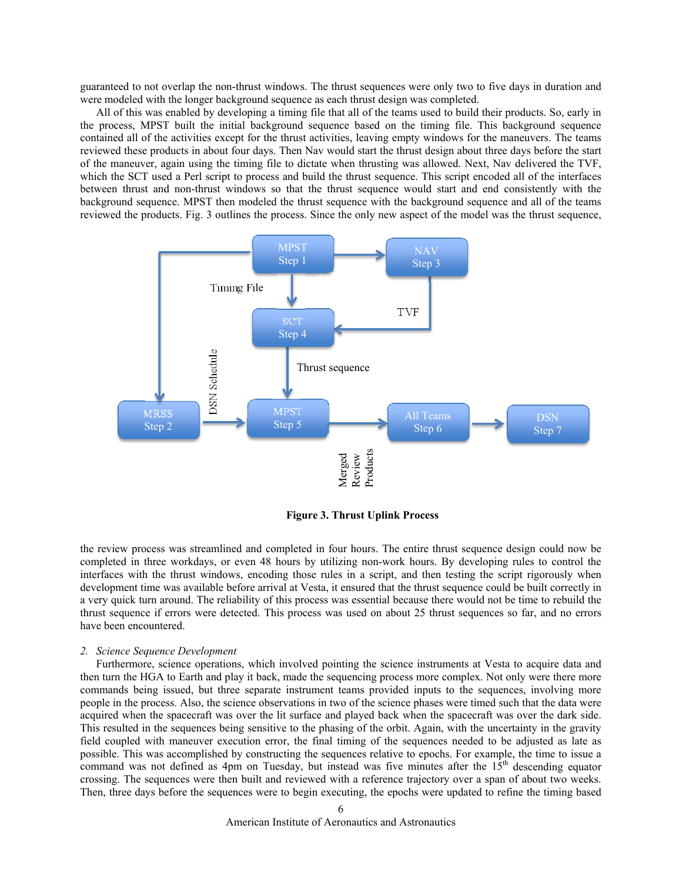guaranteed to not overlap the non-thrust windows. The thrust sequences were only two to five days in duration and were modeled with the longer background sequence as each thrust design was completed.

All of this was enabled by developing a timing file that all of the teams used to build their products. So, early in the process, MPST built the initial background sequence based on the timing file. This background sequence contained all of the activities except for the thrust activities, leaving empty windows for the maneuvers. The teams reviewed these products in about four days. Then Nav would start the thrust design about three days before the start of the maneuver, again using the timing file to dictate when thrusting was allowed. Next, Nav delivered the TVF, which the SCT used a Perl script to process and build the thrust sequence. This script encoded all of the interfaces between thrust and non-thrust windows so that the thrust sequence would start and end consistently with the background sequence. MPST then modeled the thrust sequence with the background sequence and all of the teams reviewed the products. Fig. 3 outlines the process. Since the only new aspect of the model was the thrust sequence,



**Figure 3. Thrust Uplink Process** 

the review process was streamlined and completed in four hours. The entire thrust sequence design could now be completed in three workdays, or even 48 hours by utilizing non-work hours. By developing rules to control the interfaces with the thrust windows, encoding those rules in a script, and then testing the script rigorously when development time was available before arrival at Vesta, it ensured that the thrust sequence could be built correctly in a very quick turn around. The reliability of this process was essential because there would not be time to rebuild the thrust sequence if errors were detected. This process was used on about 25 thrust sequences so far, and no errors have been encountered.

#### *2. Science Sequence Development*

Furthermore, science operations, which involved pointing the science instruments at Vesta to acquire data and then turn the HGA to Earth and play it back, made the sequencing process more complex. Not only were there more commands being issued, but three separate instrument teams provided inputs to the sequences, involving more people in the process. Also, the science observations in two of the science phases were timed such that the data were acquired when the spacecraft was over the lit surface and played back when the spacecraft was over the dark side. This resulted in the sequences being sensitive to the phasing of the orbit. Again, with the uncertainty in the gravity field coupled with maneuver execution error, the final timing of the sequences needed to be adjusted as late as possible. This was accomplished by constructing the sequences relative to epochs. For example, the time to issue a command was not defined as 4pm on Tuesday, but instead was five minutes after the  $15<sup>th</sup>$  descending equator crossing. The sequences were then built and reviewed with a reference trajectory over a span of about two weeks. Then, three days before the sequences were to begin executing, the epochs were updated to refine the timing based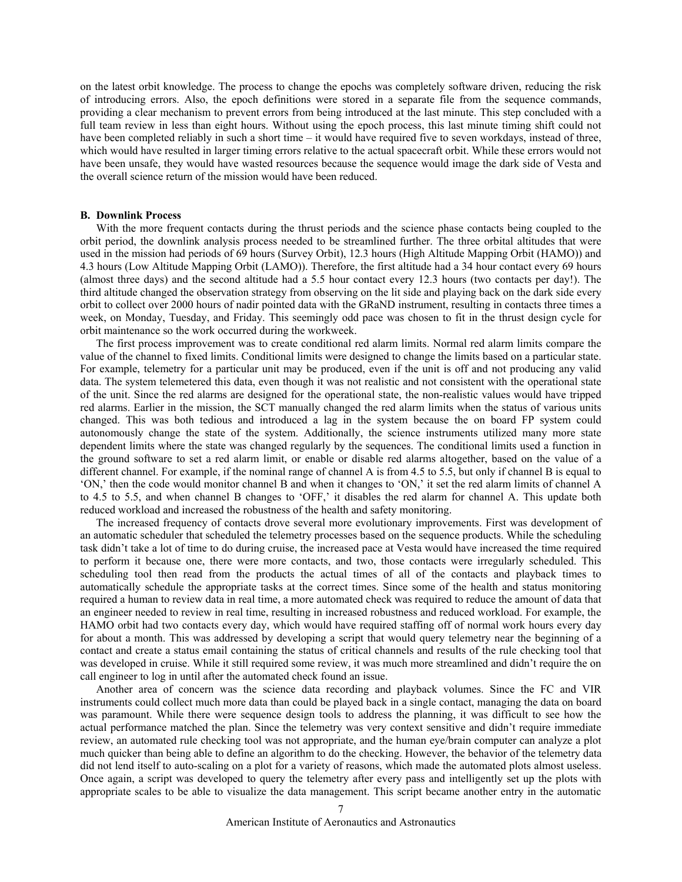on the latest orbit knowledge. The process to change the epochs was completely software driven, reducing the risk of introducing errors. Also, the epoch definitions were stored in a separate file from the sequence commands, providing a clear mechanism to prevent errors from being introduced at the last minute. This step concluded with a full team review in less than eight hours. Without using the epoch process, this last minute timing shift could not have been completed reliably in such a short time – it would have required five to seven workdays, instead of three, which would have resulted in larger timing errors relative to the actual spacecraft orbit. While these errors would not have been unsafe, they would have wasted resources because the sequence would image the dark side of Vesta and the overall science return of the mission would have been reduced.

#### **B. Downlink Process**

With the more frequent contacts during the thrust periods and the science phase contacts being coupled to the orbit period, the downlink analysis process needed to be streamlined further. The three orbital altitudes that were used in the mission had periods of 69 hours (Survey Orbit), 12.3 hours (High Altitude Mapping Orbit (HAMO)) and 4.3 hours (Low Altitude Mapping Orbit (LAMO)). Therefore, the first altitude had a 34 hour contact every 69 hours (almost three days) and the second altitude had a 5.5 hour contact every 12.3 hours (two contacts per day!). The third altitude changed the observation strategy from observing on the lit side and playing back on the dark side every orbit to collect over 2000 hours of nadir pointed data with the GRaND instrument, resulting in contacts three times a week, on Monday, Tuesday, and Friday. This seemingly odd pace was chosen to fit in the thrust design cycle for orbit maintenance so the work occurred during the workweek.

The first process improvement was to create conditional red alarm limits. Normal red alarm limits compare the value of the channel to fixed limits. Conditional limits were designed to change the limits based on a particular state. For example, telemetry for a particular unit may be produced, even if the unit is off and not producing any valid data. The system telemetered this data, even though it was not realistic and not consistent with the operational state of the unit. Since the red alarms are designed for the operational state, the non-realistic values would have tripped red alarms. Earlier in the mission, the SCT manually changed the red alarm limits when the status of various units changed. This was both tedious and introduced a lag in the system because the on board FP system could autonomously change the state of the system. Additionally, the science instruments utilized many more state dependent limits where the state was changed regularly by the sequences. The conditional limits used a function in the ground software to set a red alarm limit, or enable or disable red alarms altogether, based on the value of a different channel. For example, if the nominal range of channel A is from 4.5 to 5.5, but only if channel B is equal to 'ON,' then the code would monitor channel B and when it changes to 'ON,' it set the red alarm limits of channel A to 4.5 to 5.5, and when channel B changes to 'OFF,' it disables the red alarm for channel A. This update both reduced workload and increased the robustness of the health and safety monitoring.

The increased frequency of contacts drove several more evolutionary improvements. First was development of an automatic scheduler that scheduled the telemetry processes based on the sequence products. While the scheduling task didn't take a lot of time to do during cruise, the increased pace at Vesta would have increased the time required to perform it because one, there were more contacts, and two, those contacts were irregularly scheduled. This scheduling tool then read from the products the actual times of all of the contacts and playback times to automatically schedule the appropriate tasks at the correct times. Since some of the health and status monitoring required a human to review data in real time, a more automated check was required to reduce the amount of data that an engineer needed to review in real time, resulting in increased robustness and reduced workload. For example, the HAMO orbit had two contacts every day, which would have required staffing off of normal work hours every day for about a month. This was addressed by developing a script that would query telemetry near the beginning of a contact and create a status email containing the status of critical channels and results of the rule checking tool that was developed in cruise. While it still required some review, it was much more streamlined and didn't require the on call engineer to log in until after the automated check found an issue.

Another area of concern was the science data recording and playback volumes. Since the FC and VIR instruments could collect much more data than could be played back in a single contact, managing the data on board was paramount. While there were sequence design tools to address the planning, it was difficult to see how the actual performance matched the plan. Since the telemetry was very context sensitive and didn't require immediate review, an automated rule checking tool was not appropriate, and the human eye/brain computer can analyze a plot much quicker than being able to define an algorithm to do the checking. However, the behavior of the telemetry data did not lend itself to auto-scaling on a plot for a variety of reasons, which made the automated plots almost useless. Once again, a script was developed to query the telemetry after every pass and intelligently set up the plots with appropriate scales to be able to visualize the data management. This script became another entry in the automatic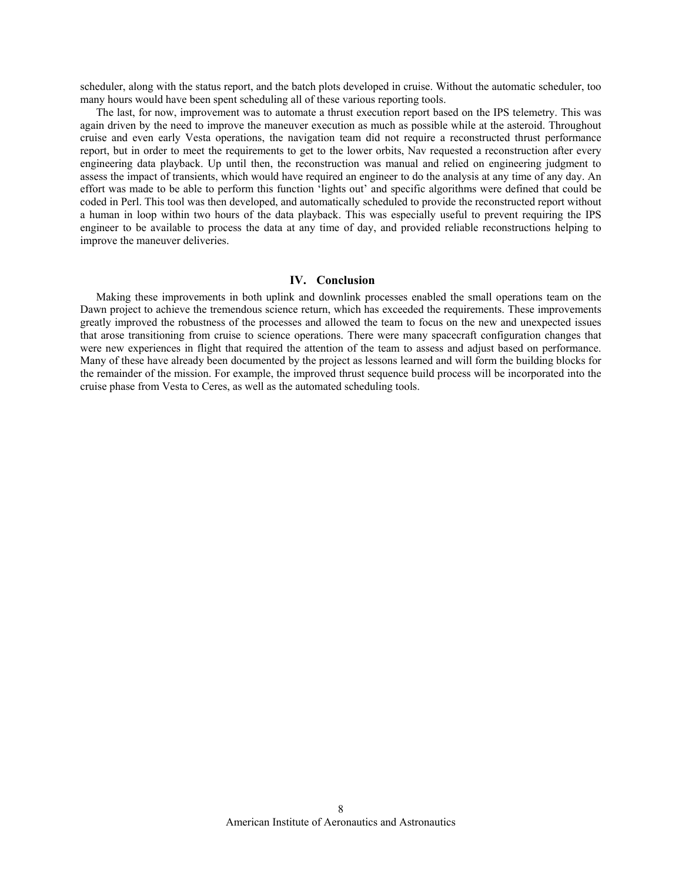scheduler, along with the status report, and the batch plots developed in cruise. Without the automatic scheduler, too many hours would have been spent scheduling all of these various reporting tools.

The last, for now, improvement was to automate a thrust execution report based on the IPS telemetry. This was again driven by the need to improve the maneuver execution as much as possible while at the asteroid. Throughout cruise and even early Vesta operations, the navigation team did not require a reconstructed thrust performance report, but in order to meet the requirements to get to the lower orbits, Nav requested a reconstruction after every engineering data playback. Up until then, the reconstruction was manual and relied on engineering judgment to assess the impact of transients, which would have required an engineer to do the analysis at any time of any day. An effort was made to be able to perform this function 'lights out' and specific algorithms were defined that could be coded in Perl. This tool was then developed, and automatically scheduled to provide the reconstructed report without a human in loop within two hours of the data playback. This was especially useful to prevent requiring the IPS engineer to be available to process the data at any time of day, and provided reliable reconstructions helping to improve the maneuver deliveries.

#### **IV. Conclusion**

Making these improvements in both uplink and downlink processes enabled the small operations team on the Dawn project to achieve the tremendous science return, which has exceeded the requirements. These improvements greatly improved the robustness of the processes and allowed the team to focus on the new and unexpected issues that arose transitioning from cruise to science operations. There were many spacecraft configuration changes that were new experiences in flight that required the attention of the team to assess and adjust based on performance. Many of these have already been documented by the project as lessons learned and will form the building blocks for the remainder of the mission. For example, the improved thrust sequence build process will be incorporated into the cruise phase from Vesta to Ceres, as well as the automated scheduling tools.